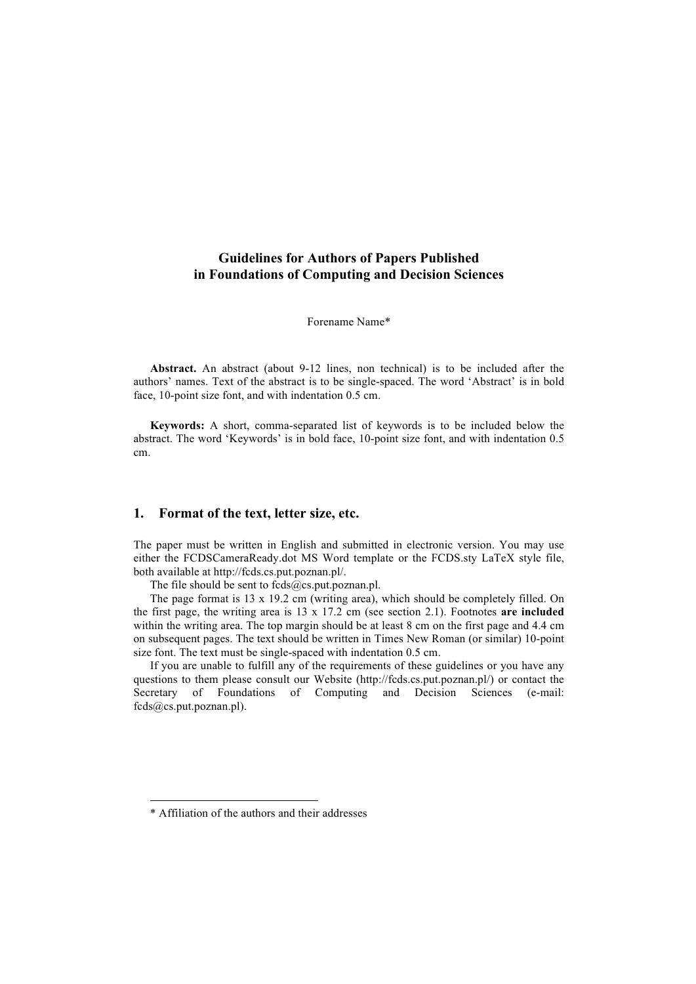# **Guidelines for Authors of Papers Published in Foundations of Computing and Decision Sciences**

Forename Name\*

**Abstract.** An abstract (about 9-12 lines, non technical) is to be included after the authors' names. Text of the abstract is to be single-spaced. The word 'Abstract' is in bold face, 10-point size font, and with indentation 0.5 cm.

**Keywords:** A short, comma-separated list of keywords is to be included below the abstract. The word 'Keywords' is in bold face, 10-point size font, and with indentation 0.5 cm.

### **1. Format of the text, letter size, etc.**

The paper must be written in English and submitted in electronic version. You may use either the FCDSCameraReady.dot MS Word template or the FCDS.sty LaTeX style file, both available at http://fcds.cs.put.poznan.pl/.

The file should be sent to fcds@cs.put.poznan.pl.

The page format is 13 x 19.2 cm (writing area), which should be completely filled. On the first page, the writing area is 13 x 17.2 cm (see section 2.1). Footnotes **are included** within the writing area. The top margin should be at least 8 cm on the first page and 4.4 cm on subsequent pages. The text should be written in Times New Roman (or similar) 10-point size font. The text must be single-spaced with indentation 0.5 cm.

If you are unable to fulfill any of the requirements of these guidelines or you have any questions to them please consult our Website (http://fcds.cs.put.poznan.pl/) or contact the Secretary of Foundations of Computing and Decision Sciences (e-mail: fcds@cs.put.poznan.pl).

 $\overline{a}$ 

<sup>\*</sup> Affiliation of the authors and their addresses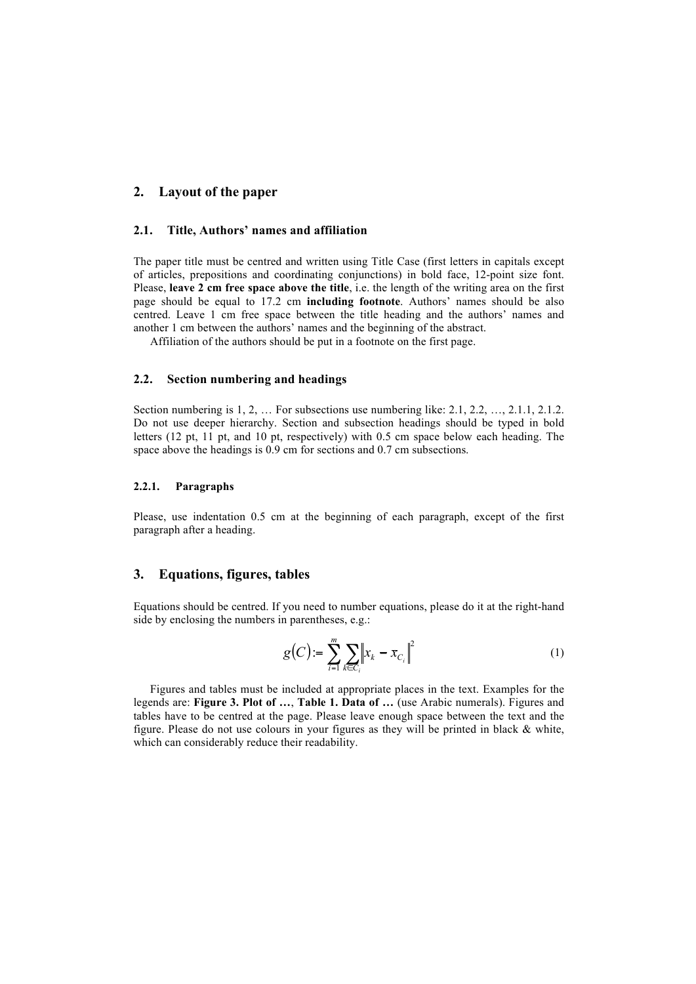## **2. Layout of the paper**

#### **2.1. Title, Authors' names and affiliation**

The paper title must be centred and written using Title Case (first letters in capitals except of articles, prepositions and coordinating conjunctions) in bold face, 12-point size font. Please, **leave 2 cm free space above the title**, i.e. the length of the writing area on the first page should be equal to 17.2 cm **including footnote**. Authors' names should be also centred. Leave 1 cm free space between the title heading and the authors' names and another 1 cm between the authors' names and the beginning of the abstract.

Affiliation of the authors should be put in a footnote on the first page.

### **2.2. Section numbering and headings**

Section numbering is  $1, 2, \ldots$  For subsections use numbering like:  $2.1, 2.2, \ldots, 2.1.1, 2.1.2$ . Do not use deeper hierarchy. Section and subsection headings should be typed in bold letters (12 pt, 11 pt, and 10 pt, respectively) with 0.5 cm space below each heading. The space above the headings is 0.9 cm for sections and 0.7 cm subsections.

#### **2.2.1. Paragraphs**

Please, use indentation 0.5 cm at the beginning of each paragraph, except of the first paragraph after a heading.

# **3. Equations, figures, tables**

Equations should be centred. If you need to number equations, please do it at the right-hand side by enclosing the numbers in parentheses, e.g.:

$$
g(C) = \sum_{i=1}^{m} \sum_{k \in C_i} \left\| x_k - \overline{x}_{C_i} \right\|^2
$$
 (1)

Figures and tables must be included at appropriate places in the text. Examples for the legends are: **Figure 3. Plot of …**, **Table 1. Data of …** (use Arabic numerals). Figures and tables have to be centred at the page. Please leave enough space between the text and the figure. Please do not use colours in your figures as they will be printed in black & white, which can considerably reduce their readability.